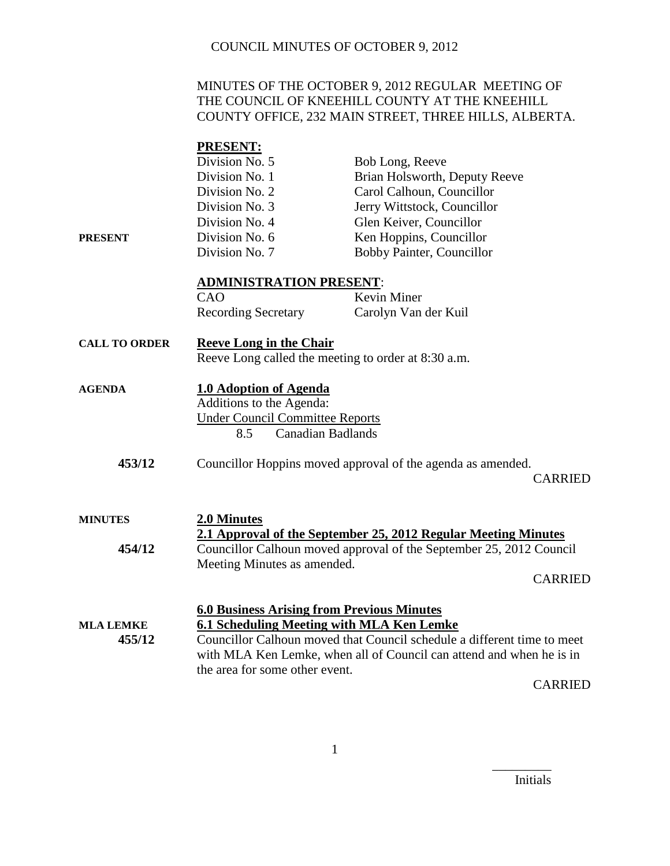#### MINUTES OF THE OCTOBER 9, 2012 REGULAR MEETING OF THE COUNCIL OF KNEEHILL COUNTY AT THE KNEEHILL COUNTY OFFICE, 232 MAIN STREET, THREE HILLS, ALBERTA.

# **PRESENT:**

|                      | Division No. 5                                                            | Bob Long, Reeve                                                     |  |
|----------------------|---------------------------------------------------------------------------|---------------------------------------------------------------------|--|
|                      | Division No. 1                                                            | Brian Holsworth, Deputy Reeve                                       |  |
|                      | Division No. 2                                                            | Carol Calhoun, Councillor                                           |  |
|                      | Division No. 3                                                            | Jerry Wittstock, Councillor                                         |  |
|                      | Division No. 4                                                            | Glen Keiver, Councillor                                             |  |
| <b>PRESENT</b>       | Division No. 6                                                            | Ken Hoppins, Councillor                                             |  |
|                      | Division No. 7                                                            | Bobby Painter, Councillor                                           |  |
|                      | <b>ADMINISTRATION PRESENT:</b>                                            |                                                                     |  |
|                      | CAO                                                                       | Kevin Miner                                                         |  |
|                      | <b>Recording Secretary</b>                                                | Carolyn Van der Kuil                                                |  |
| <b>CALL TO ORDER</b> | <b>Reeve Long in the Chair</b>                                            |                                                                     |  |
|                      |                                                                           | Reeve Long called the meeting to order at 8:30 a.m.                 |  |
| <b>AGENDA</b>        | <b>1.0 Adoption of Agenda</b>                                             |                                                                     |  |
|                      | Additions to the Agenda:                                                  |                                                                     |  |
|                      | <b>Under Council Committee Reports</b><br><b>Canadian Badlands</b><br>8.5 |                                                                     |  |
|                      |                                                                           |                                                                     |  |
| 453/12               |                                                                           | Councillor Hoppins moved approval of the agenda as amended.         |  |
|                      |                                                                           | <b>CARRIED</b>                                                      |  |
| <b>MINUTES</b>       | 2.0 Minutes                                                               |                                                                     |  |
|                      |                                                                           | 2.1 Approval of the September 25, 2012 Regular Meeting Minutes      |  |
| 454/12               |                                                                           | Councillor Calhoun moved approval of the September 25, 2012 Council |  |
|                      | Meeting Minutes as amended.                                               |                                                                     |  |
|                      |                                                                           | <b>CARRIED</b>                                                      |  |
|                      | <b>6.0 Business Arising from Previous Minutes</b>                         |                                                                     |  |
| <b>MLA LEMKE</b>     |                                                                           | 6.1 Scheduling Meeting with MLA Ken Lemke                           |  |
| 455/12               | Councillor Calhoun moved that Council schedule a different time to meet   |                                                                     |  |
|                      | with MLA Ken Lemke, when all of Council can attend and when he is in      |                                                                     |  |
|                      | the area for some other event.                                            | CADDIED                                                             |  |
|                      |                                                                           |                                                                     |  |

CARRIED

Initials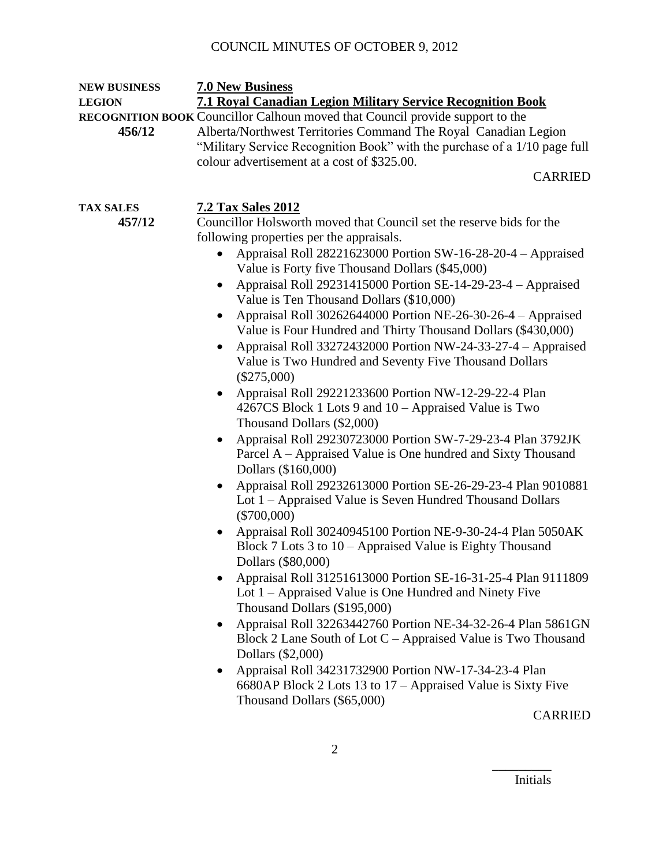| <b>NEW BUSINESS</b> | <b>7.0 New Business</b>                                                              |  |
|---------------------|--------------------------------------------------------------------------------------|--|
| <b>LEGION</b>       | <b>7.1 Royal Canadian Legion Military Service Recognition Book</b>                   |  |
|                     | <b>RECOGNITION BOOK Councillor Calhoun moved that Council provide support to the</b> |  |
| 456/12              | Alberta/Northwest Territories Command The Royal Canadian Legion                      |  |
|                     | "Military Service Recognition Book" with the purchase of a 1/10 page full            |  |
|                     | colour advertisement at a cost of \$325.00.                                          |  |
|                     | <b>CARRIED</b>                                                                       |  |
| <b>TAX SALES</b>    | <b>7.2 Tax Sales 2012</b>                                                            |  |
| 457/12              | Councillor Holsworth moved that Council set the reserve bids for the                 |  |
|                     | following properties per the appraisals.                                             |  |
|                     | Appraisal Roll 28221623000 Portion SW-16-28-20-4 – Appraised                         |  |
|                     | Value is Forty five Thousand Dollars (\$45,000)                                      |  |
|                     | Appraisal Roll 29231415000 Portion SE-14-29-23-4 - Appraised                         |  |
|                     | Value is Ten Thousand Dollars (\$10,000)                                             |  |
|                     | Appraisal Roll 30262644000 Portion NE-26-30-26-4 - Appraised                         |  |
|                     | Value is Four Hundred and Thirty Thousand Dollars (\$430,000)                        |  |
|                     | Appraisal Roll 33272432000 Portion NW-24-33-27-4 - Appraised                         |  |
|                     | Value is Two Hundred and Seventy Five Thousand Dollars                               |  |
|                     | $(\$275,000)$                                                                        |  |
|                     | Appraisal Roll 29221233600 Portion NW-12-29-22-4 Plan                                |  |
|                     | 4267CS Block 1 Lots 9 and $10 -$ Appraised Value is Two                              |  |
|                     | Thousand Dollars (\$2,000)                                                           |  |
|                     | Appraisal Roll 29230723000 Portion SW-7-29-23-4 Plan 3792JK                          |  |
|                     | Parcel A – Appraised Value is One hundred and Sixty Thousand                         |  |
|                     | Dollars (\$160,000)                                                                  |  |
|                     | Appraisal Roll 29232613000 Portion SE-26-29-23-4 Plan 9010881<br>$\bullet$           |  |
|                     | Lot 1 – Appraised Value is Seven Hundred Thousand Dollars<br>$(\$700,000)$           |  |
|                     | Appraisal Roll 30240945100 Portion NE-9-30-24-4 Plan 5050AK<br>$\bullet$             |  |
|                     | Block $7$ Lots $3$ to $10$ – Appraised Value is Eighty Thousand                      |  |
|                     | Dollars (\$80,000)                                                                   |  |
|                     | Appraisal Roll 31251613000 Portion SE-16-31-25-4 Plan 9111809                        |  |
|                     | Lot $1 -$ Appraised Value is One Hundred and Ninety Five                             |  |
|                     | Thousand Dollars (\$195,000)                                                         |  |
|                     | Appraisal Roll 32263442760 Portion NE-34-32-26-4 Plan 5861GN<br>$\bullet$            |  |
|                     | Block 2 Lane South of Lot $C -$ Appraised Value is Two Thousand                      |  |
|                     | Dollars (\$2,000)                                                                    |  |
|                     | Appraisal Roll 34231732900 Portion NW-17-34-23-4 Plan                                |  |
|                     | 6680AP Block 2 Lots 13 to 17 – Appraised Value is Sixty Five                         |  |
|                     | Thousand Dollars (\$65,000)                                                          |  |
|                     | <b>CARRIED</b>                                                                       |  |
|                     |                                                                                      |  |

Initials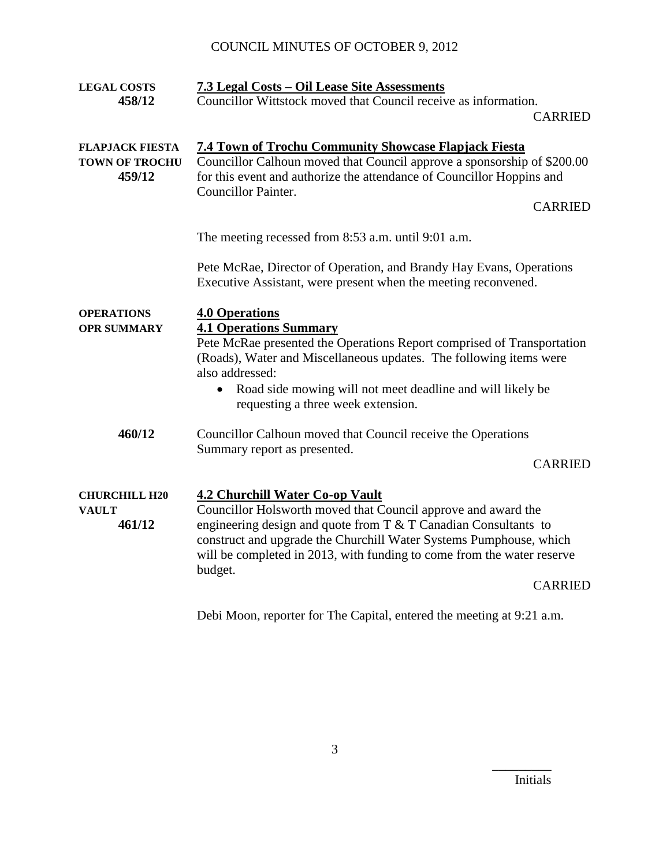| <b>LEGAL COSTS</b>     | 7.3 Legal Costs – Oil Lease Site Assessments                            |
|------------------------|-------------------------------------------------------------------------|
| 458/12                 | Councillor Wittstock moved that Council receive as information.         |
|                        | <b>CARRIED</b>                                                          |
|                        |                                                                         |
|                        |                                                                         |
| <b>FLAPJACK FIESTA</b> | <b>7.4 Town of Trochu Community Showcase Flapjack Fiesta</b>            |
| <b>TOWN OF TROCHU</b>  | Councillor Calhoun moved that Council approve a sponsorship of \$200.00 |
| 459/12                 | for this event and authorize the attendance of Councillor Hoppins and   |
|                        | <b>Councillor Painter.</b>                                              |
|                        | <b>CARRIED</b>                                                          |
|                        | The meeting recessed from 8:53 a.m. until 9:01 a.m.                     |
|                        |                                                                         |
|                        | Pete McRae, Director of Operation, and Brandy Hay Evans, Operations     |
|                        | Executive Assistant, were present when the meeting reconvened.          |
|                        |                                                                         |
| <b>OPERATIONS</b>      | <b>4.0 Operations</b>                                                   |
| <b>OPR SUMMARY</b>     | <b>4.1 Operations Summary</b>                                           |
|                        | Pete McRae presented the Operations Report comprised of Transportation  |
|                        | (Roads), Water and Miscellaneous updates. The following items were      |
|                        |                                                                         |
|                        | also addressed:                                                         |
|                        | Road side mowing will not meet deadline and will likely be<br>$\bullet$ |
|                        | requesting a three week extension.                                      |
| 460/12                 | Councillor Calhoun moved that Council receive the Operations            |
|                        |                                                                         |
|                        | Summary report as presented.<br><b>CARRIED</b>                          |
|                        |                                                                         |
| <b>CHURCHILL H20</b>   | <b>4.2 Churchill Water Co-op Vault</b>                                  |
| <b>VAULT</b>           | Councillor Holsworth moved that Council approve and award the           |
| 461/12                 | engineering design and quote from $T \& T$ Canadian Consultants to      |
|                        | construct and upgrade the Churchill Water Systems Pumphouse, which      |
|                        | will be completed in 2013, with funding to come from the water reserve  |
|                        |                                                                         |
|                        | budget.<br><b>CARRIED</b>                                               |
|                        |                                                                         |
|                        |                                                                         |

Debi Moon, reporter for The Capital, entered the meeting at 9:21 a.m.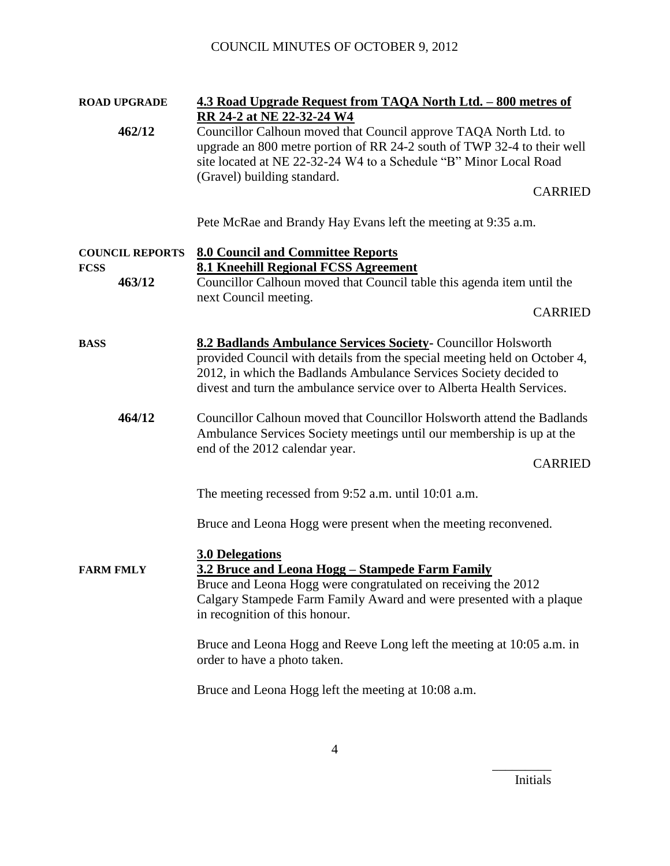| <b>ROAD UPGRADE</b>    | 4.3 Road Upgrade Request from TAQA North Ltd. - 800 metres of<br>RR 24-2 at NE 22-32-24 W4                                                                                                                                                                                                                                                                                                                          |
|------------------------|---------------------------------------------------------------------------------------------------------------------------------------------------------------------------------------------------------------------------------------------------------------------------------------------------------------------------------------------------------------------------------------------------------------------|
| 462/12                 | Councillor Calhoun moved that Council approve TAQA North Ltd. to<br>upgrade an 800 metre portion of RR 24-2 south of TWP 32-4 to their well<br>site located at NE 22-32-24 W4 to a Schedule "B" Minor Local Road<br>(Gravel) building standard.<br><b>CARRIED</b>                                                                                                                                                   |
|                        |                                                                                                                                                                                                                                                                                                                                                                                                                     |
|                        | Pete McRae and Brandy Hay Evans left the meeting at 9:35 a.m.                                                                                                                                                                                                                                                                                                                                                       |
| <b>COUNCIL REPORTS</b> | <b>8.0 Council and Committee Reports</b>                                                                                                                                                                                                                                                                                                                                                                            |
| <b>FCSS</b><br>463/12  | <b>8.1 Kneehill Regional FCSS Agreement</b><br>Councillor Calhoun moved that Council table this agenda item until the                                                                                                                                                                                                                                                                                               |
|                        | next Council meeting.<br><b>CARRIED</b>                                                                                                                                                                                                                                                                                                                                                                             |
| <b>BASS</b>            | 8.2 Badlands Ambulance Services Society- Councillor Holsworth<br>provided Council with details from the special meeting held on October 4,<br>2012, in which the Badlands Ambulance Services Society decided to<br>divest and turn the ambulance service over to Alberta Health Services.                                                                                                                           |
| 464/12                 | Councillor Calhoun moved that Councillor Holsworth attend the Badlands<br>Ambulance Services Society meetings until our membership is up at the<br>end of the 2012 calendar year.<br><b>CARRIED</b>                                                                                                                                                                                                                 |
|                        | The meeting recessed from 9:52 a.m. until 10:01 a.m.                                                                                                                                                                                                                                                                                                                                                                |
|                        | Bruce and Leona Hogg were present when the meeting reconvened.                                                                                                                                                                                                                                                                                                                                                      |
| <b>FARM FMLY</b>       | <b>3.0 Delegations</b><br>3.2 Bruce and Leona Hogg - Stampede Farm Family<br>Bruce and Leona Hogg were congratulated on receiving the 2012<br>Calgary Stampede Farm Family Award and were presented with a plaque<br>in recognition of this honour.<br>Bruce and Leona Hogg and Reeve Long left the meeting at 10:05 a.m. in<br>order to have a photo taken.<br>Bruce and Leona Hogg left the meeting at 10:08 a.m. |
|                        |                                                                                                                                                                                                                                                                                                                                                                                                                     |

Initials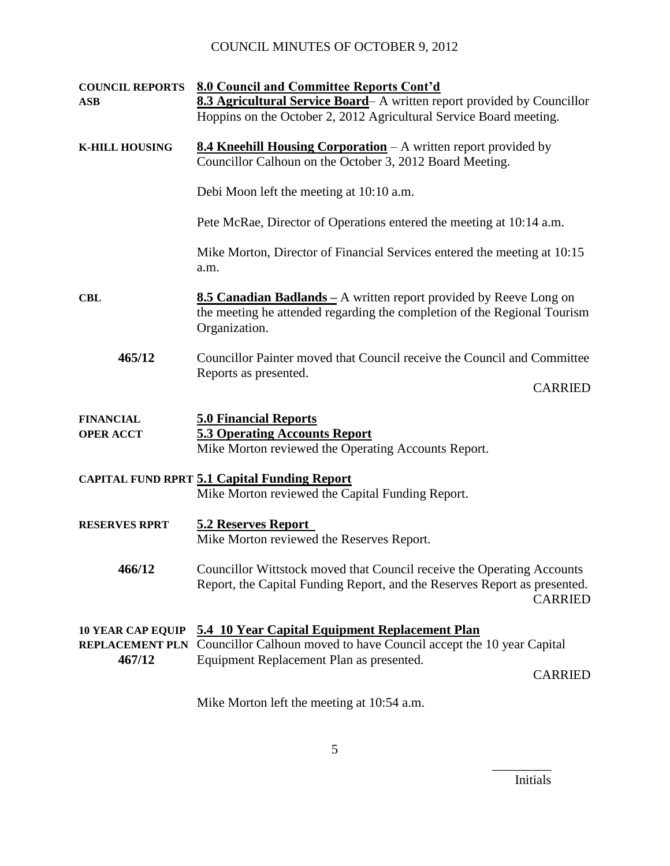| <b>COUNCIL REPORTS</b><br><b>ASB</b>                         | 8.0 Council and Committee Reports Cont'd<br>8.3 Agricultural Service Board- A written report provided by Councillor<br>Hoppins on the October 2, 2012 Agricultural Service Board meeting. |
|--------------------------------------------------------------|-------------------------------------------------------------------------------------------------------------------------------------------------------------------------------------------|
| <b>K-HILL HOUSING</b>                                        | <b>8.4 Kneehill Housing Corporation</b> – A written report provided by<br>Councillor Calhoun on the October 3, 2012 Board Meeting.                                                        |
|                                                              | Debi Moon left the meeting at 10:10 a.m.                                                                                                                                                  |
|                                                              | Pete McRae, Director of Operations entered the meeting at 10:14 a.m.                                                                                                                      |
|                                                              | Mike Morton, Director of Financial Services entered the meeting at 10:15<br>a.m.                                                                                                          |
| <b>CBL</b>                                                   | <b>8.5 Canadian Badlands</b> – A written report provided by Reeve Long on<br>the meeting he attended regarding the completion of the Regional Tourism<br>Organization.                    |
| 465/12                                                       | Councillor Painter moved that Council receive the Council and Committee                                                                                                                   |
|                                                              | Reports as presented.<br><b>CARRIED</b>                                                                                                                                                   |
| <b>FINANCIAL</b><br><b>OPER ACCT</b>                         | <b>5.0 Financial Reports</b><br><b>5.3 Operating Accounts Report</b><br>Mike Morton reviewed the Operating Accounts Report.                                                               |
|                                                              | <b>CAPITAL FUND RPRT 5.1 Capital Funding Report</b><br>Mike Morton reviewed the Capital Funding Report.                                                                                   |
| <b>RESERVES RPRT</b>                                         | <b>5.2 Reserves Report</b><br>Mike Morton reviewed the Reserves Report.                                                                                                                   |
| 466/12                                                       | Councillor Wittstock moved that Council receive the Operating Accounts<br>Report, the Capital Funding Report, and the Reserves Report as presented.<br><b>CARRIED</b>                     |
| <b>10 YEAR CAP EQUIP</b><br><b>REPLACEMENT PLN</b><br>467/12 | 5.4 10 Year Capital Equipment Replacement Plan<br>Councillor Calhoun moved to have Council accept the 10 year Capital<br>Equipment Replacement Plan as presented.<br><b>CARRIED</b>       |
|                                                              |                                                                                                                                                                                           |

Mike Morton left the meeting at 10:54 a.m.

Initials